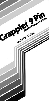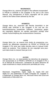#### **WARNINGS**

Orange Micro Inc. reserves all rights in the software incorporated in PROM or EPROM in the Grappler 9 Pin and in the Users Manual. Any infringement of those copyrights will be prosecuted to the fullest extent allowed by the law.

#### **HINWEIS**

Orange Micro Inc. reserviert alle Rechte hinsichlich in der PROM oder EPROM in der Grappler 9 Pin und der Gebrauchtsanwisung erwaehnten Software. Verstoesse gegen die copyrights jeglicher Art werden gerichtlich verfolgt unter volister Ausschoepfung des andwendvaren Gesetzes.

#### **AVIS**

Orange Micro Inc. se reserve tous droits du programme controloant les differentes operations du PROM ou EPROM dul Grappler 9 Pin ainsi que celles decrites dans le manuel d'utilisation du systeme. Tout violateur de ces copyright sera poursuivi dans toute Ia mesure fixee par Ia loi.

#### **AVISO**

Orange Micro Inc. se reservatodos los derechos de programacien ijcorporada en el PROM o EPROM en el Grappler 9 Pin y en el Manual de Instruccion. Laviolacion de estos derechos de copia ocasionara Ia mayor prosecucion permitida por Ia ley.

#### **Trademarks**

Macintosh, lmageWriter, Apple, Apple IIc, Apple IGS and Apple IIc+ are trademarks of Apple Computer Inc. Grappler is a trademark of Orange Micro Inc. Microsoft Word and Excel are trademarks of Microsoft Inc.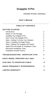## **Grappler 9 Pin**

## **Parallel Printer Interface**

**User's Manual**

## **TABLE OF CONTENTS**

# **GETTING STARTED**

| Introduction                                | 2  |
|---------------------------------------------|----|
| What's In The Package                       | 2  |
| Installing The Grappler 9 Pin               | 2  |
| How To Use The Grappler 9 Pin               | 3  |
| Step 1: Getting To Know Your Software       | 4  |
| Step 2: Installing The Right Printer        | 4  |
| Step 3: Setting The Grappler DIP Switch     | 5  |
| Apple IIGS and Apple IIc Installation Tests | 6  |
| <b>Macintosh Installation Tests</b>         | 7  |
| <b>Installation Double-Checks</b>           | 8  |
| TROUBLESHOOTING -GRAPPLER 9 PIN             | 8  |
| DAISY WHEEL PRINTERS ON A MAC               | 9  |
| <b>512K MAC TO GRAPPLER CABLE</b>           | 10 |
| <b>RADIO FREQUENCY INTERFERENCE</b>         | 11 |
| LIMITED WARRANTY                            | 12 |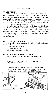#### **GETTING STARTED**

#### <span id="page-3-0"></span>**INTRODUCTION**

In the world of computers and printers, information can be sent or received in two forms: serial or parallel. Information that is sent serially is like a railroad train: each message is a single car that arrives separately as it comes down the track.

On the other hand, imagine an eight lane super highway with eight cars traveling side by side, and all arriving simultaneously. This is how parallel information travels.

Normally, the Apple IIc, IIc+, and IIGS and Macintosh computers send out serial information, expecting a serial printer. The Grappler 9 Pin is a unique printer cable that actually converts information from serial to parallel. This conversion allows you to connect your Apple to a parallel printer instead of an ImageWriter, thus increasing the number of printer choices available to you.

#### **WHAT'S IN THE PACKAGE:**

You should receive with your Grappler 9 Pin, in addition to this manual.

1. One Grappler 9 Pin Unit

2.One Power Supply

3.One Apple Ic Adapter Cable

#### **INSTALLING THE GRAPPLER 9 PIN**

Use these instructions to hook up the Grappler 9 Pin

- 1.TURN OFF POWER TO THE APPLE (MAC) AND TO YOUR PRINTER.
- 2. Observe the illustration below and make note of four items: (A) printer connector; (B) computer cable; (C) wall transformer and cable; and (D) DIP switch.

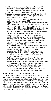- <span id="page-4-0"></span>**3.** With the power to all units off, plug the Grappler 9 Pin printer connector into your parallel printer port. Refer to your printer users guide for the location of this port and any specific printer instructions.
- **4.** Locate the computer cable and insert this into the back of the Apple where the small printer symbol is found. See Apple manual for details.
- **5.** Plug the wall transformer into a standard electrical outlet and into the Grappler 9 Pin.
- 6. **Apple lIc only**: If you have altered the baud rate in the PIN assignment for the printer port, this must be reset. Reset to 9600 baud, 8 data bits, 1 stop bit and no parity (default PIN value: 166/1124) prior to using the Grappler 9 Pin. See your Apple Ic manual for details. **Apple IIGS only**: Press **Control- -ESC** to enter the Classic Desk Accessory menu. Under CONTROL PANEL, the PRINTER PORT must be set for 9600 baud, 8 data bits, 1 stop bit and no parity to operate correctly. Unless you have previously changed these settings, they will be correct from the factory. Under SLOTS, be sure that SLOT#1 is set for PRINTER PORT and not YOUR CARD

**Macintosh only:** The ImageWriter driver in the Macintosh system folder will communicate correctly with the Grappler at 9600 baud. Be sure that lmageWriter is selected in the CHOOSER under the  $\bullet$  menu, and that AppleTalk is DISCONNECTED if you are using the printer serial port (indicated by a picture of a printer on the Mac case).

**7** Follow the instructions under "How to Use the Grappler 9 Pin," then set the Grappler 9 Pin DIP switch. **WARNING:** Use only the Grappler 9 Pin transformer; using any other transformer could harm equipment and void warranty. When the Grappler will be out of use for an extended period, always remove the wall transformer from the electrical outlet. Failure to do so may overheat the unit and damage the transformer.

## **HOW TO USE THE GRAPPLER 9 PIN**

To use the Grappler 9 Pin takes only three easy steps. The first step is getting to know your software library to find out how many programs support your printer specifically, and how many support the ImageWriter. The second step is making certain that any programs providing printer selection have been installed, or selected within the program, correctly. (Printer installation is fully discussed under STEP2.) Lastly; having checked your software and verified the printer installation, you must set the Grappler 9 Pin DIP switch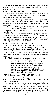<span id="page-5-0"></span>In order to pave the way for error-free operation of the Grappler 9 pin, it is recommended that you take each of these steps one at a time.

## **STEP 1: Getting to Know Your Software**

Some software libraries may hold only one or two programs, others may include hundreds. Only a few minutes are needed to divide your library into groups:

Take those software programs that provide support for the Apple lmageWriter II printer and set them aside. An example would be Mousepaint for the Apple II, which supports only the lmageWriter.

**NOTE:** Virtually all Macintosh and Apple lIGs-specific applications fall into this category

Make note of any packages which support your particular parallel printer.

If you are new to computers and have just purchased your Apple and a parallel printer, the Grappler's lmageWriter emulation will be the easiest to use. If you wish to use your software's printer drivers instead of the Grappler's, refer to your user's guide for printer installation instructions.

## **STEP 2: Installing the Right Printer**

In many cases, a software program must be told what printer is being used. Even if your software names your printer, it is recommended that you select lmageWriter or lmageWriter II, and use the Grappler 9 Pin in emulation mode. This will eliminate the need to change Grappler switch settings between applications. Most Mac applications default to lmageWriter support.

**NOTE:** If your software takes special advantage of your printer, you may wish to use its driver and set the Grappler for Parallel Mode when using that title, but this will require changes in Grappler switch settings with each use. If the program is new and has not been installed, refer to the program operator's manual for instructions on how to install a printer in that program. Do this before proceeding to the next step.

## **STEP 3: Setting the GRAPPLER DIP Switch**

Once you know your software, you are ready to set the DIP switch according to one of two modes: lmageWriter Emulation Mode or Parallel Mode.

If most of your software is set for Apple lmageWriter, as recommended, then you must use the lmageWriter Emulation Mode. If your software is installed for your specific parallel printer, then you would use the Parallel Mode, which renders the Grappler "transparent" to the code being sent. Again, this should only be used when your program offers special features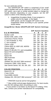<span id="page-6-0"></span>for your particular printer.

The GRAPPLER DIP switch is comprised of four small switch handles that can be selected to ON or OFF. To set the DIP switch, use a pen or similar pointed object to change the handle direction depending on your program, set the DIP switch to either of the following modes:

1. ImageWriter Emulation Mode. If your program is written only for the Apple or the Apple DMP printer, set the Grappler DIP switch in the ImageWriter Mode according to your specific printer shown below:

#### **ImageWriter Mode GRAPPLER DIP Switch Settings**

|                                      | <b>DIP Switch Handles</b> |            |             |           |
|--------------------------------------|---------------------------|------------|-------------|-----------|
| <b>B &amp; W PRINTERS</b>            | Α                         | в          | C           | D         |
| Brother 1109                         | ON                        |            | OFF OFF OFF |           |
| Brother I209, 1509, 1709             | <b>ON</b>                 | ON         | OFF ON      |           |
| Centronics PS210, P5220              | ON.                       | <b>ON</b>  | OFF ON      |           |
| C. itoh ProWriter Jr. Plus           | ON                        | <b>ON</b>  | OFF ON      |           |
| C. itoh ProWriter                    | OFF.                      | OFF ON     |             | ON        |
| Citizen 120D                         | ON                        | <b>ON</b>  | ON          | <b>ON</b> |
| Citizen MSP-10, MSP-15E, MSP50       | ON                        | ON         | OFF ON      |           |
| Diconix 300W                         | ON.                       | ON.        | OFF ON      |           |
| Epson FX-80,100, FX+ and compatibles | ON.                       | ON.        | OFF ON      |           |
| Epson RX and compatibles             | ON .                      | ON.        | OFF OFF     |           |
| Epson LX                             | ON.                       |            | OFF OFF OFF |           |
| Epson MX                             | ON                        | ON         | ON          | OFF       |
| <b>IBM ProPrinter</b>                | OFF ON                    |            |             | OFF OFF   |
| <b>NEC 8023</b>                      |                           | OFF OFF ON |             | <b>ON</b> |
| Okidata 192,193 (NOT IBM versions)*  | OFF ON                    |            | OFF ON      |           |
| Panasonic 1080i, 1091i Series        | ON                        | <b>ON</b>  | OFF OFF     |           |
| Star Gemini Series: SG, SD, SR, 10X  | ON                        |            | OFF OFF ON  |           |
| <b>COLOR PRINTERS</b>                | A                         | в          | С           | D         |
| Epson EX, JX                         | ON                        | ON         | OFF ON      |           |
| C.itoh C3150                         | ON                        | ON         | OFF ON      |           |
| Eagit DOIAA DO15A                    | ⌒                         | $\cap$     | $CFE$ $CNI$ |           |

| Facit B3l00, B3150 |                                                      |  | ON ON OFF ON |  |
|--------------------|------------------------------------------------------|--|--------------|--|
|                    | Okidata 292, 293 (NOT IBM versions)** OFF ON OFF OFF |  |              |  |

\* PRINTER must be set for 8 bit graphics

\*\* May exhibit vertical page displacement, For best results, use Oki 192 settings when not printing in color.

If your printer is not listed, try the Epson FX setting. If this fails, contact your printer manufacturer for compatibility.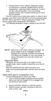<span id="page-7-0"></span>2. Parallel Mode. If your software application allows for selection of a specific parallel printer (not the lmageWriter), verify that switch handles B, C and D are set in the ON position. If you are printing graphics (8 bits), the A handle should also be set in the ON position.

The DIP switchs are a rocker type switch. In order to set it properly, push down on the ON side to set it ON and push down the OFF side to set it OFF. Always unplug the Grappler 9 Pin power supply while changing the DIP switches.

The following illustration shows a setting of ON-ON-OFF-ON.



**NOTE:** Whenever a DIP switch setting is changed, the power supply must be unplugged from the Grappler for 5 seconds, and then reconnected. This allows the Grappler to "see" the change. If using a Macintosh you must also restart your computer.

#### **Important Note:**

Whenever you print text-only on an Apple II in the parallel mode, switch handle A should be set to the off position.

After the GRAPPLER DIP switch has been se to match your printing application, test the work you have done.

#### **Apple IIGS and lIc Installation Test**

Use the following test to chock your work:

- 1. Turn on both the Apple computer and your printer. Make sure that the Grappler 9 Pin is plugged into the electrical wall socket.
- 2. Press CONTROL-RESET to reset the system.
- 3. With the system prompt']' showing on the computer screen, type:

#### **PR#1**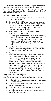<span id="page-8-0"></span>Now hit the Return key five limes. Your printer should be printing the prompt character ']" each time you strike the Return key. If not, double check each of your installation procedures and glance over the "Installation Double-Checks" at the end of this section.

## **Macintosh Installation Tests**

- 1. Insert any Macintosh program into an active drive and turn on power.
- 2. Go to the CHOOSER under the  $\bullet$  menu and select the Imagewriter. If the lmageWriter is not present in the CHOOSER, you must load the lmageWriter Driver into your System folder. Consult your Macintosh manual for details.
- 3. Select PRINT CATALOG' OR 'PRINT DIREC-TORY' under the file menu.
- **NOTE:** A few printers do not support reverse line feeds, which is required for total lmageWriter emulation. If the images printing are clear, but not properly aligned, tty printing from another application before assuming a Grappler problem.
- 4. Load any Macintosh application and open a document. Be sure that lmageWriter has been selected in the CHOOSER under the g menu.
- 5. For best results when printing test, you need to have fonts loaded into your system that are twice the size as those you are working with on the screen. For example, if you are working on a document in 12 point Times font on the screen, you need to have 24 point Times loaded into the the system for your printer to use. In many applications, loaded fonts appear outined under the font pulldown menu (eg., **36 Point**) and non-loaded fonts are not outlined (eg., **36 Point)** Consult your Macintosh manual for information about the Font/ DA mover

## **Installation Double-Checks**

If you are experiencing trouble in getting any response from your printer, check the following common problems:

- **1**. Is the cable correctly attached between the Grappler 9 Pin and printer?
- **2**. Is the Grappler 9 Pin transformer plugged into the wall and the interface?
- **3**. Is the Grappler 9 Pin connected to the Apple?
- **4.** Is the printer on?<br>**5.** Is the printer "on I
- **5.** Is the printer "on line", or ready to receive information from the computer?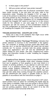- <span id="page-9-0"></span>6. Is there paper in the printer?
- 7. Will your printer self-test" (see printer manual)?

The above will confirm that all physical connections have been made correctly. If the test does not work, refer to the instructions under "Installing the Grappler 9 Pin" on page 2. Look at the printout to determine if all characters and functions are being printed as they should be. If not, review the software user's guide to verify printer installation (if it is installation);then re-check the Grappler DIP switch to see that it is in the correct mode for the software in use (see page 5). If the printed characters are still not correct, a final consideration would be the PIN configeration as described under instruction number 6 of "Installing the Grappler 9 Pin" on page 3.

#### **TROUBLESHOOTING** - **GRAPPLER 9 PIN**

These are a few of the problems that might occur while using the Grappler 9 Pin printer interface.

**No Printing and/or "Garbage" Printing** - Indicates that printer selection is incorrect in the CHOOSER or the application, the computer is sending incorrect serial data (baud rate, stop bits, etc.), or that the GRAPPLER DlP switch has not been correctly set. To recover, re-check both the printer selection under your application's SET UP and the GRAPPLER DIP switch setting for your printer. See also: Graphics/Text switch below, and instruction number 6 under 'Installing the Grappler 9 Pin on page 3.

**Graphics/Text Switch** - Failure to reset GRAPPLER DIP switch handle A in the parallel mode when changing printing from text to graphics or from graphics to text may result in a number of printing problems. If you attempt to print text when switch A is in graphics position (ON), you may get italics or certain printer graphics characters. If you attempt to print graphics while switch A is in the test position (OFF), then you may get thin white lines running through the graphics picture. Set the GRAPPLER DIP switch in parallel mode for text or graphics in accordance with the instructions on page 5.

**White Horizontal Lines** - Check theprinter's DIP switch. Some printers have an option for controlling the eighth data bit If this option is available, make sure your printer is set for EIGHT data bits, If you are using the Grappler 9 Pin in parallel mode and are printing graphics, failure to set switch D to the ON position will also create horizontal white lines.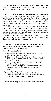<span id="page-10-0"></span>**All Text is Printed in Italics (IIc Plus and IIGS) If you are** using the Grappler 9 Pin in parallel mode to print text documents, set switch A to the OFF position

#### **Pages Do Not Properly Align in Multiple Page Documents** - This problem is most often caused by the printer's inability to execute a Reverse Line Feed. The ImageWriter driver often moves the paper backwards for positioning purposes. The Grappler 9 Pin has a partial compensation for this, but it cannot completely correct for a feature not supported by your printer.

Unlike other Epson FX's, the Epson FX-86 & FX-286 printers do not have reverse-line feed. To get proper page alignment it is recommended that you use the Epson RX switch settings. Unless you are printing in color, the switch settings for the Oki 192 are recommended.

The best way to work around this is to print only a few pages at a time, realigning the paper before continuing, or to use single sheets when printing longer documents.

## **TO PRINT TO A DAISY WHEEL PRINTER OR TO USE YOUR PRINTERS BUILT-IN FONTS (FOR MACINTOSH USER'S ONLY).**

#### **From Microsoft Word:**

- 1. Find the *Serial Printer and Typewriter* files on your original Microsoft Word disks.
- 2. Copy these files to the System Folder of the disk you normally start-up from when running Microsoft Word.
- 3.Restart your Macintosh.
- 4.Pull down the  $\bullet$  Menu and select the *Serial Printer* and *Typewriter* in the chooser.
- 5.Make sure the Settings are 9600 baud and that the port where the Grappler 9 Pin is plugged in is set correctly.

#### **From Microsoft Excel:**

- 1.Select *Printer Setup from* under the File Menu.
- 2.Turn on the TTY and 9600 baud selections and make sure the proper printer port is selected.

These drivers will only work with the above two applications.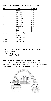## <span id="page-11-0"></span>**PARALLEL INTERFACE PIN ASSIGNMENT**

| Pins  | Signal      | Direction |
|-------|-------------|-----------|
| 1     | Strobe      | Out       |
| 2     | Data Bit 1  | Out       |
| 3     | Data Bit 2  | Out       |
| 4     | Data Bit 3  | Out       |
| 5     | Data Bit 4  | Out       |
| 6     | Data Bit 5  | Out       |
| 7     | Data Bit 6  | Out       |
| 8     | Data Bit 7  | Out       |
| 9     | Data Bit 8  | Out       |
| 10    | ACK         | ΙN        |
| 11    | Busy        | IN        |
| 12    | Paper Empty | IN        |
| 13-16 | No Connect  |           |
| 17    | Ground      |           |
| 18    | No Connect  |           |
| 19-29 | Ground      |           |
| 30-36 | No Connect  |           |

#### **POWER SUPPLY OUTPUT SPECIFICATIONS** 9VDC 200MA

Tip Polarity Inside Tip Positive

## **GRAPPLER TO 512K MAC CABLE DIAGRAM**

Mac 512K users can purchase a special cable (PN: 70CAB0051 2) direotly from Orange Micro Inc. This cable allows 512K users to connect to most parallel 9 Pin printers.

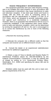#### **RADIO FREQUENCY INTERFERENCE**

<span id="page-12-0"></span>This equipment generates and uses radio frequency energy, and if not installed and used properly in strict accordance with the manufacturer's instructions, may cause interference to radio and television reception. It has been type tested and found to comply with the limits for class B computing device in accordance with the specifications in Subpart j of Part 15 of FCC Rules, which are designed to provide reasonable protection against such interference in a residential installation. However, there is no guarantee that interference will not occur in a particular installation. If this equipment does cause interference to radio and television reception, which can be determined by turning the equipment off and on, the user is encouraged to try to correct the interference by one or more of the following measures:

1.Reorient the receiving antenna.

2. Relocate the computer into a different outlet so that the computer and receiver are on different branch circuits.

**3.** Consult the dealer or an experienced radio/television technician for additional suggestions.

4. Obtain a copy of "How to Identify and Resolve Radio-TV Interference Problems (Stock No. 004-000-00398-5) by the Federal Communications Commission, It may be ordered free of charge by writing to: U.S. Government Printing Office, Washington, D.C. 20402 and specifying the above title and its stock number.

Shielded cables must be used with this unit to meet compliance requirements of the FCC.